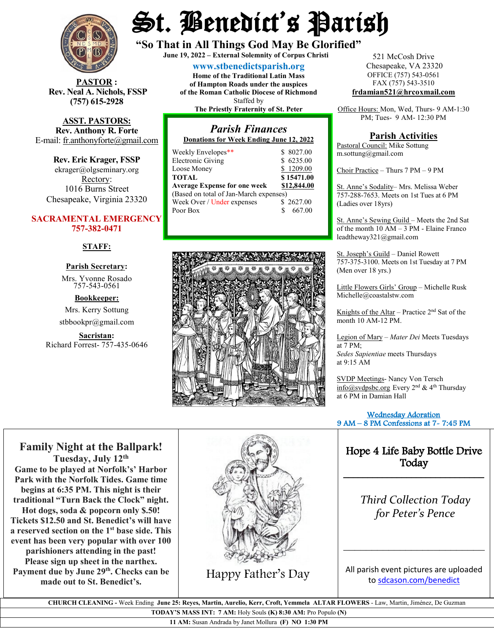

**STOR** : **Rev. Neal A. Nichols, FSSP (757) 615-2928** 

**ASST. PASTORS: Rev. Anthony R. Forte** E-mail: [fr.anthonyforte@gmail.com](mailto:fr.anthonyforte@gmail.com)

**Rev. Eric Krager, FSSP** ekrager@olgseminary.org Rectory: 1016 Burns Street Chesapeake, Virginia 23320

#### **SACRAMENTAL EMERGENCY 757-382-0471**

#### **STAFF:**

#### **Parish Secretary:**

Mrs. Yvonne Rosado757-543-0561

**Bookkeeper:**

Mrs. Kerry Sottung stbbookpr@gmail.com

**Sacristan:**  Richard Forrest- 757-435-0646

# St. Benedict's Parish

**"So That in All Things God May Be Glorified" June 19, <sup>2022</sup> – External Solemnity of Corpus Christi**

**[www.stbenedictsparish.org](http://www.stbenedictsparish.org/) Home of the Traditional Latin Mass of Hampton Roads under the auspices of the Roman Catholic Diocese of Richmond** Staffed by **The Priestly Fraternity of St. Peter**

#### *Parish Finances* **Donations for Week Ending June 12, 2022**

| Weekly Envelopes**                     | \$8027.00    |
|----------------------------------------|--------------|
| <b>Electronic Giving</b>               | \$6235.00    |
| Loose Money                            | \$1209.00    |
| <b>TOTAL</b>                           | \$15471.00   |
| <b>Average Expense for one week</b>    | \$12,844.00  |
| (Based on total of Jan-March expenses) |              |
| Week Over / Under expenses             | \$2627.00    |
| Poor Box                               | 667.00<br>S. |
|                                        |              |



521 McCosh Drive Chesapeake, VA 23320 OFFICE (757) 543-0561 FAX (757) 543-3510 **[frdamian521@hrcoxmail.com](mailto:frdamian521@hrcoxmail.com)**

Office Hours: Mon, Wed, Thurs- 9 AM-1:30 PM; Tues- 9 AM- 12:30 PM

#### **Parish Activities**

Pastoral Council: Mike Sottung m.sottung@gmail.com

Choir Practice – Thurs 7 PM – 9 PM

St. Anne's Sodality– Mrs. Melissa Weber 757-288-7653. Meets on 1st Tues at 6 PM (Ladies over 18yrs)

St. Anne's Sewing Guild – Meets the 2nd Sat of the month 10 AM – 3 PM - Elaine Franco leadtheway321@gmail.com

St. Joseph's Guild – Daniel Rowett 757-375-3100. Meets on 1st Tuesday at 7 PM (Men over 18 yrs.)

Little Flowers Girls' Group – Michelle Rusk Michelle@coastalstw.com

Knights of the Altar – Practice  $2<sup>nd</sup>$  Sat of the month 10 AM-12 PM.

Legion of Mary – *Mater Dei* Meets Tuesdays at 7 PM; *Sedes Sapientiae* meets Thursdays at 9:15 AM

SVDP Meetings- Nancy Von Tersch  $info@svdpsbc.org$  Every  $2<sup>nd</sup>$  & 4<sup>th</sup> Thursday at 6 PM in Damian Hall

 Wednesday Adoration 9 AM – 8 PM Confessions at 7- 7:45 PM ֧֪֚֞֝֬֝֬֝֬֝֬֝֬֝֬֝

### Hope 4 Life Baby Bottle Drive Today

\_\_\_\_\_\_\_\_\_\_\_\_\_\_\_\_\_\_\_\_\_\_\_\_\_\_\_\_\_

*Third Collection Today for Peter's Pence*

**Tuesday, July 12th Game to be played at Norfolk's' Harbor Park with the Norfolk Tides. Game time begins at 6:35 PM. This night is their traditional "Turn Back the Clock" night. Hot dogs, soda & popcorn only \$.50! Tickets \$12.50 and St. Benedict's will have a reserved section on the 1st base side. This event has been very popular with over 100 parishioners attending in the past! Please sign up sheet in the narthex.** Payment due by June 29<sup>th</sup>. Checks can be nt due by June 29<sup>th</sup>. Checks can be **Happy Father's Day** made out to St. Benedict's.

**Family Night at the Ballpark!**



All parish event pictures are uploaded t[o sdcason.com/benedict](http://sdcason.com/benedict)

\_\_\_\_\_\_\_\_\_\_\_\_\_\_\_\_\_\_\_\_\_\_\_\_\_

 **CHURCH CLEANING -** Week Ending **June 25: Reyes, Martin, Aurelio, Kerr, Croft, Yemmela ALTAR FLOWERS** - Law, Martin, Jiménez, De Guzman

**TODAY'S MASS INT: 7 AM:** Holy Souls **(K) 8:30 AM:** Pro Populo **(N)**

**11 AM:** Susan Andrada by Janet Mollura **(F) NO 1:30 PM**